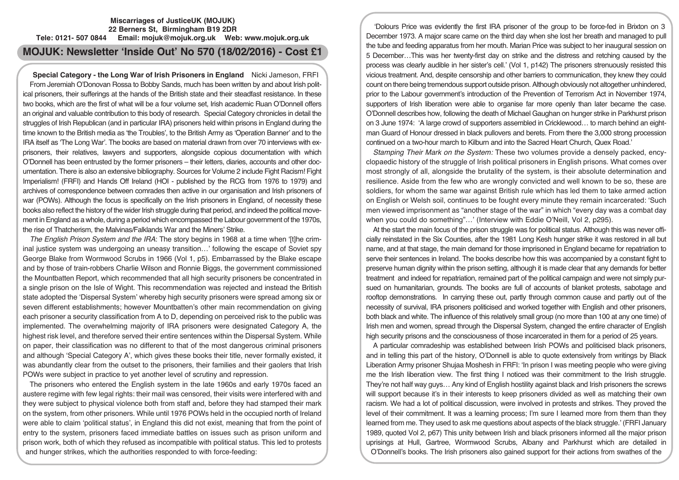# **Miscarriages of JusticeUK (MOJUK) 22 Berners St, Birmingham B19 2DR Tele: 0121- 507 0844 Email: mojuk@mojuk.org.uk Web: www.mojuk.org.uk**

# **MOJUK: Newsletter 'Inside Out' No 570 (18/02/2016) - Cost £1**

**Special Category - the Long War of Irish Prisoners in England** Nicki Jameson, FRFI From Jeremiah O'Donovan Rossa to Bobby Sands, much has been written by and about Irish political prisoners, their sufferings at the hands of the British state and their steadfast resistance. In these two books, which are the first of what will be a four volume set, Irish academic Ruan O'Donnell offers an original and valuable contribution to this body of research. Special Category chronicles in detail the struggles of Irish Republican (and in particular IRA) prisoners held within prisons in England during the time known to the British media as 'the Troubles', to the British Army as 'Operation Banner' and to the IRA itself as 'The Long War'. The books are based on material drawn from over 70 interviews with exprisoners, their relatives, lawyers and supporters, alongside copious documentation with which O'Donnell has been entrusted by the former prisoners – their letters, diaries, accounts and other documentation. There is also an extensive bibliography. Sources for Volume 2 include Fight Racism! Fight Imperialism! (FRFI) and Hands Off Ireland (HOI - published by the RCG from 1976 to 1979) and archives of correspondence between comrades then active in our organisation and Irish prisoners of war (POWs). Although the focus is specifically on the Irish prisoners in England, of necessity these books also reflect the history of the wider Irish struggle during that period, and indeed the political movement in England as a whole, during a period which encompassed the Labour government of the 1970s, the rise of Thatcherism, the Malvinas/Falklands War and the Miners' Strike.

*The English Prison System and the IRA*: The story begins in 1968 at a time when '[t]he criminal justice system was undergoing an uneasy transition…' following the escape of Soviet spy George Blake from Wormwood Scrubs in 1966 (Vol 1, p5). Embarrassed by the Blake escape and by those of train-robbers Charlie Wilson and Ronnie Biggs, the government commissioned the Mountbatten Report, which recommended that all high security prisoners be concentrated in a single prison on the Isle of Wight. This recommendation was rejected and instead the British state adopted the 'Dispersal System' whereby high security prisoners were spread among six or seven different establishments; however Mountbatten's other main recommendation on giving each prisoner a security classification from A to D, depending on perceived risk to the public was implemented. The overwhelming majority of IRA prisoners were designated Category A, the highest risk level, and therefore served their entire sentences within the Dispersal System. While on paper, their classification was no different to that of the most dangerous criminal prisoners and although 'Special Category A', which gives these books their title, never formally existed, it was abundantly clear from the outset to the prisoners, their families and their gaolers that Irish POWs were subject in practice to yet another level of scrutiny and repression.

The prisoners who entered the English system in the late 1960s and early 1970s faced an austere regime with few legal rights: their mail was censored, their visits were interfered with and they were subject to physical violence both from staff and, before they had stamped their mark on the system, from other prisoners. While until 1976 POWs held in the occupied north of Ireland were able to claim 'political status', in England this did not exist, meaning that from the point of entry to the system, prisoners faced immediate battles on issues such as prison uniform and prison work, both of which they refused as incompatible with political status. This led to protests and hunger strikes, which the authorities responded to with force-feeding:

'Dolours Price was evidently the first IRA prisoner of the group to be force-fed in Brixton on 3 December 1973. A major scare came on the third day when she lost her breath and managed to pull the tube and feeding apparatus from her mouth. Marian Price was subject to her inaugural session on 5 December…This was her twenty-first day on strike and the distress and retching caused by the process was clearly audible in her sister's cell.' (Vol 1, p142) The prisoners strenuously resisted this vicious treatment. And, despite censorship and other barriers to communication, they knew they could count on there being tremendous support outside prison.Although obviously not altogether unhindered, prior to the Labour government's introduction of the Prevention of Terrorism Act in November 1974, supporters of Irish liberation were able to organise far more openly than later became the case. O'Donnell describes how, following the death of Michael Gaughan on hunger strike in Parkhurst prison on 3 June 1974: 'A large crowd of supporters assembled in Cricklewood… to march behind an eightman Guard of Honour dressed in black pullovers and berets. From there the 3,000 strong procession continued on a two-hour march to Kilburn and into the Sacred Heart Church, Quex Road.'

*Stamping Their Mark on the System:* These two volumes provide a densely packed, encyclopaedic history of the struggle of Irish political prisoners in English prisons. What comes over most strongly of all, alongside the brutality of the system, is their absolute determination and resilience. Aside from the few who are wrongly convicted and well known to be so, these are soldiers, for whom the same war against British rule which has led them to take armed action on English or Welsh soil, continues to be fought every minute they remain incarcerated: 'Such men viewed imprisonment as "another stage of the war" in which "every day was a combat day when you could do something"…' (Interview with Eddie O'Neill, Vol 2, p295).

At the start the main focus of the prison struggle was for political status. Although this was never officially reinstated in the Six Counties, after the 1981 Long Kesh hunger strike it was restored in all but name, and at that stage, the main demand for those imprisoned in England became for repatriation to serve their sentences in Ireland. The books describe how this was accompanied by a constant fight to preserve human dignity within the prison setting, although it is made clear that any demands for better treatment and indeed for repatriation, remained part of the political campaign and were not simply pursued on humanitarian, grounds. The books are full of accounts of blanket protests, sabotage and rooftop demonstrations. In carrying these out, partly through common cause and partly out of the necessity of survival, IRA prisoners politicised and worked together with English and other prisoners, both black and white. The influence of this relatively small group (no more than 100 at any one time) of Irish men and women, spread through the Dispersal System, changed the entire character of English high security prisons and the consciousness of those incarcerated in them for a period of 25 years.

A particular comradeship was established between Irish POWs and politicised black prisoners, and in telling this part of the history, O'Donnell is able to quote extensively from writings by Black Liberation Army prisoner Shujaa Moshesh in FRFI: 'In prison I was meeting people who were giving me the Irish liberation view. The first thing I noticed was their commitment to the Irish struggle. They're not half way guys… Any kind of English hostility against black and Irish prisoners the screws will support because it's in their interests to keep prisoners divided as well as matching their own racism. We had a lot of political discussion, were involved in protests and strikes. They proved the level of their commitment. It was a learning process; I'm sure I learned more from them than they learned from me. They used to ask me questions about aspects of the black struggle.' (FRFI January 1989, quoted Vol 2, p67) This unity between Irish and black prisoners informed all the major prison uprisings at Hull, Gartree, Wormwood Scrubs, Albany and Parkhurst which are detailed in O'Donnell's books. The Irish prisoners also gained support for their actions from swathes of the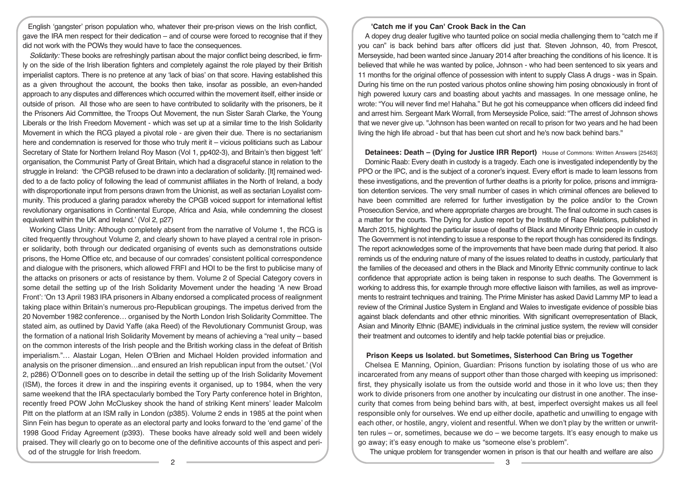English 'gangster' prison population who, whatever their pre-prison views on the Irish conflict, gave the IRA men respect for their dedication – and of course were forced to recognise that if they did not work with the POWs they would have to face the consequences.

*Solidarity:* These books are refreshingly partisan about the major conflict being described, ie firmly on the side of the Irish liberation fighters and completely against the role played by their British imperialist captors. There is no pretence at any 'lack of bias' on that score. Having established this as a given throughout the account, the books then take, insofar as possible, an even-handed approach to any disputes and differences which occurred within the movement itself, either inside or outside of prison. All those who are seen to have contributed to solidarity with the prisoners, be it the Prisoners Aid Committee, the Troops Out Movement, the nun Sister Sarah Clarke, the Young Liberals or the Irish Freedom Movement - which was set up at a similar time to the Irish Solidarity Movement in which the RCG played a pivotal role - are given their due. There is no sectarianism here and condemnation is reserved for those who truly merit it – vicious politicians such as Labour Secretary of State for Northern Ireland Roy Mason (Vol 1, pp402-3), and Britain's then biggest 'left' organisation, the Communist Party of Great Britain, which had a disgraceful stance in relation to the struggle in Ireland: 'the CPGB refused to be drawn into a declaration of solidarity. [It] remained wedded to a de facto policy of following the lead of communist affiliates in the North of Ireland, a body with disproportionate input from persons drawn from the Unionist, as well as sectarian Loyalist community. This produced a glaring paradox whereby the CPGB voiced support for international leftist revolutionary organisations in Continental Europe, Africa and Asia, while condemning the closest equivalent within the UK and Ireland.' (Vol 2, p27)

Working Class Unity: Although completely absent from the narrative of Volume 1, the RCG is cited frequently throughout Volume 2, and clearly shown to have played a central role in prisoner solidarity, both through our dedicated organising of events such as demonstrations outside prisons, the Home Office etc, and because of our comrades' consistent political correspondence and dialogue with the prisoners, which allowed FRFI and HOI to be the first to publicise many of the attacks on prisoners or acts of resistance by them. Volume 2 of Special Category covers in some detail the setting up of the Irish Solidarity Movement under the heading 'A new Broad Front': 'On 13 April 1983 IRA prisoners in Albany endorsed a complicated process of realignment taking place within Britain's numerous pro-Republican groupings. The impetus derived from the 20 November 1982 conference… organised by the North London Irish Solidarity Committee. The stated aim, as outlined by David Yaffe (aka Reed) of the Revolutionary Communist Group, was the formation of a national Irish Solidarity Movement by means of achieving a "real unity – based on the common interests of the Irish people and the British working class in the defeat of British imperialism."… Alastair Logan, Helen O'Brien and Michael Holden provided information and analysis on the prisoner dimension…and ensured an Irish republican input from the outset.' (Vol 2, p286) O'Donnell goes on to describe in detail the setting up of the Irish Solidarity Movement (ISM), the forces it drew in and the inspiring events it organised, up to 1984, when the very same weekend that the IRA spectacularly bombed the Tory Party conference hotel in Brighton, recently freed POW John McCluskey shook the hand of striking Kent miners' leader Malcolm Pitt on the platform at an ISM rally in London (p385). Volume 2 ends in 1985 at the point when Sinn Fein has begun to operate as an electoral party and looks forward to the 'end game' of the 1998 Good Friday Agreement (p393). These books have already sold well and been widely praised. They will clearly go on to become one of the definitive accounts of this aspect and period of the struggle for Irish freedom.

**'Catch me if you Can' Crook Back in the Can**

A dopey drug dealer fugitive who taunted police on social media challenging them to "catch me if you can" is back behind bars after officers did just that. Steven Johnson, 40, from Prescot, Merseyside, had been wanted since January 2014 after breaching the conditions of his licence. It is believed that while he was wanted by police, Johnson - who had been sentenced to six years and 11 months for the original offence of possession with intent to supply Class A drugs - was in Spain. During his time on the run posted various photos online showing him posing obnoxiously in front of high powered luxury cars and boasting about yachts and massages. In one message online, he wrote: "You will never find me! Hahaha." But he got his comeuppance when officers did indeed find and arrest him. Sergeant Mark Worrall, from Merseyside Police, said: "The arrest of Johnson shows that we never give up. "Johnson has been wanted on recall to prison for two years and he had been living the high life abroad - but that has been cut short and he's now back behind bars."

**Detainees: Death – (Dying for Justice IRR Report)** House of Commons: Written Answers [25463] Dominic Raab: Every death in custody is a tragedy. Each one is investigated independently by the PPO or the IPC, and is the subject of a coroner's inquest. Every effort is made to learn lessons from these investigations, and the prevention of further deaths is a priority for police, prisons and immigration detention services. The very small number of cases in which criminal offences are believed to have been committed are referred for further investigation by the police and/or to the Crown Prosecution Service, and where appropriate charges are brought. The final outcome in such cases is a matter for the courts. The Dying for Justice report by the Institute of Race Relations, published in March 2015, highlighted the particular issue of deaths of Black and Minority Ethnic people in custody The Government is not intending to issue a response to the report though has considered its findings. The report acknowledges some of the improvements that have been made during that period. It also reminds us of the enduring nature of many of the issues related to deaths in custody, particularly that the families of the deceased and others in the Black and Minority Ethnic community continue to lack confidence that appropriate action is being taken in response to such deaths. The Government is working to address this, for example through more effective liaison with families, as well as improvements to restraint techniques and training. The Prime Minister has asked David Lammy MP to lead a review of the Criminal Justice System in England and Wales to investigate evidence of possible bias against black defendants and other ethnic minorities. With significant overrepresentation of Black, Asian and Minority Ethnic (BAME) individuals in the criminal justice system, the review will consider their treatment and outcomes to identify and help tackle potential bias or prejudice.

### **Prison Keeps us Isolated. but Sometimes, Sisterhood Can Bring us Together**

Chelsea E Manning, Opinion, Guardian: Prisons function by isolating those of us who are incarcerated from any means of support other than those charged with keeping us imprisoned: first, they physically isolate us from the outside world and those in it who love us; then they work to divide prisoners from one another by inculcating our distrust in one another. The insecurity that comes from being behind bars with, at best, imperfect oversight makes us all feel responsible only for ourselves. We end up either docile, apathetic and unwilling to engage with each other, or hostile, angry, violent and resentful. When we don't play by the written or unwritten rules – or, sometimes, because we do – we become targets. It's easy enough to make us go away; it's easy enough to make us "someone else's problem".

The unique problem for transgender women in prison is that our health and welfare are also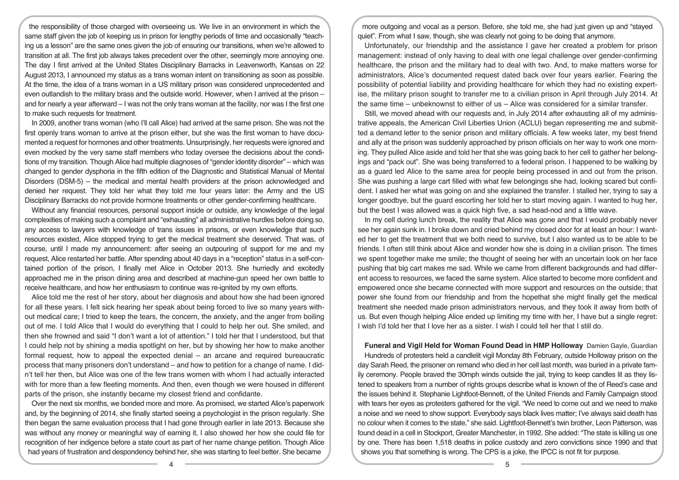the responsibility of those charged with overseeing us. We live in an environment in which the same staff given the job of keeping us in prison for lengthy periods of time and occasionally "teaching us a lesson" are the same ones given the job of ensuring our transitions, when we're allowed to transition at all. The first job always takes precedent over the other, seemingly more annoying one. The day I first arrived at the United States Disciplinary Barracks in Leavenworth, Kansas on 22 August 2013, I announced my status as a trans woman intent on transitioning as soon as possible. At the time, the idea of a trans woman in a US military prison was considered unprecedented and even outlandish to the military brass and the outside world. However, when I arrived at the prison – and for nearly a year afterward – I was not the only trans woman at the facility, nor was I the first one to make such requests for treatment.

In 2009, another trans woman (who I'll call Alice) had arrived at the same prison. She was not the first openly trans woman to arrive at the prison either, but she was the first woman to have documented a request for hormones and other treatments. Unsurprisingly, her requests were ignored and even mocked by the very same staff members who today oversee the decisions about the conditions of my transition. Though Alice had multiple diagnoses of "gender identity disorder" – which was changed to gender dysphoria in the fifth edition of the Diagnostic and Statistical Manual of Mental Disorders (DSM-5) – the medical and mental health providers at the prison acknowledged and denied her request. They told her what they told me four years later: the Army and the US Disciplinary Barracks do not provide hormone treatments or other gender-confirming healthcare.

Without any financial resources, personal support inside or outside, any knowledge of the legal complexities of making such a complaint and "exhausting" all administrative hurdles before doing so, any access to lawyers with knowledge of trans issues in prisons, or even knowledge that such resources existed, Alice stopped trying to get the medical treatment she deserved. That was, of course, until I made my announcement: after seeing an outpouring of support for me and my request, Alice restarted her battle. After spending about 40 days in a "reception" status in a self-contained portion of the prison, I finally met Alice in October 2013. She hurriedly and excitedly approached me in the prison dining area and described at machine-gun speed her own battle to receive healthcare, and how her enthusiasm to continue was re-ignited by my own efforts.

Alice told me the rest of her story, about her diagnosis and about how she had been ignored for all these years. I felt sick hearing her speak about being forced to live so many years without medical care; I tried to keep the tears, the concern, the anxiety, and the anger from boiling out of me. I told Alice that I would do everything that I could to help her out. She smiled, and then she frowned and said "I don't want a lot of attention." I told her that I understood, but that I could help not by shining a media spotlight on her, but by showing her how to make another formal request, how to appeal the expected denial – an arcane and required bureaucratic process that many prisoners don't understand – and how to petition for a change of name. I didn't tell her then, but Alice was one of the few trans women with whom I had actually interacted with for more than a few fleeting moments. And then, even though we were housed in different parts of the prison, she instantly became my closest friend and confidante.

Over the next six months, we bonded more and more. As promised, we started Alice's paperwork and, by the beginning of 2014, she finally started seeing a psychologist in the prison regularly. She then began the same evaluation process that I had gone through earlier in late 2013. Because she was without any money or meaningful way of earning it, I also showed her how she could file for recognition of her indigence before a state court as part of her name change petition. Though Alice had years of frustration and despondency behind her, she was starting to feel better. She became

more outgoing and vocal as a person. Before, she told me, she had just given up and "stayed quiet". From what I saw, though, she was clearly not going to be doing that anymore.

Unfortunately, our friendship and the assistance I gave her created a problem for prison management: instead of only having to deal with one legal challenge over gender-confirming healthcare, the prison and the military had to deal with two. And, to make matters worse for administrators, Alice's documented request dated back over four years earlier. Fearing the possibility of potential liability and providing healthcare for which they had no existing expertise, the military prison sought to transfer me to a civilian prison in April through July 2014. At the same time – unbeknownst to either of us – Alice was considered for a similar transfer.

Still, we moved ahead with our requests and, in July 2014 after exhausting all of my administrative appeals, the American Civil Liberties Union (ACLU) began representing me and submitted a demand letter to the senior prison and military officials. A few weeks later, my best friend and ally at the prison was suddenly approached by prison officials on her way to work one morning. They pulled Alice aside and told her that she was going back to her cell to gather her belongings and "pack out". She was being transferred to a federal prison. I happened to be walking by as a guard led Alice to the same area for people being processed in and out from the prison. She was pushing a large cart filled with what few belongings she had, looking scared but confident. I asked her what was going on and she explained the transfer. I stalled her, trying to say a longer goodbye, but the guard escorting her told her to start moving again. I wanted to hug her, but the best I was allowed was a quick high five, a sad head-nod and a little wave.

In my cell during lunch break, the reality that Alice was gone and that I would probably never see her again sunk in. I broke down and cried behind my closed door for at least an hour: I wanted her to get the treatment that we both need to survive, but I also wanted us to be able to be friends. I often still think about Alice and wonder how she is doing in a civilian prison. The times we spent together make me smile; the thought of seeing her with an uncertain look on her face pushing that big cart makes me sad. While we came from different backgrounds and had different access to resources, we faced the same system. Alice started to become more confident and empowered once she became connected with more support and resources on the outside; that power she found from our friendship and from the hopethat she might finally get the medical treatment she needed made prison administrators nervous, and they took it away from both of us. But even though helping Alice ended up limiting my time with her, I have but a single regret: I wish I'd told her that I love her as a sister. I wish I could tell her that I still do.

**Funeral and Vigil Held for Woman Found Dead in HMP Holloway** Damien Gayle, Guardian Hundreds of protesters held a candlelit vigil Monday 8th February, outside Holloway prison on the day Sarah Reed, the prisoner on remand who died in her cell last month, was buried in a private family ceremony. People braved the 30mph winds outside the jail, trying to keep candles lit as they listened to speakers from a number of rights groups describe what is known of the of Reed's case and the issues behind it. Stephanie Lightfoot-Bennett, of the United Friends and Family Campaign stood with tears her eyes as protesters gathered for the vigil. "We need to come out and we need to make a noise and we need to show support. Everybody says black lives matter; I've always said death has no colour when it comes to the state," she said. Lightfoot-Bennett's twin brother, Leon Patterson, was found dead in a cell in Stockport, Greater Manchester, in 1992. She added: "The state is killing us one by one. There has been 1,518 deaths in police custody and zero convictions since 1990 and that shows you that something is wrong. The CPS is a joke, the IPCC is not fit for purpose.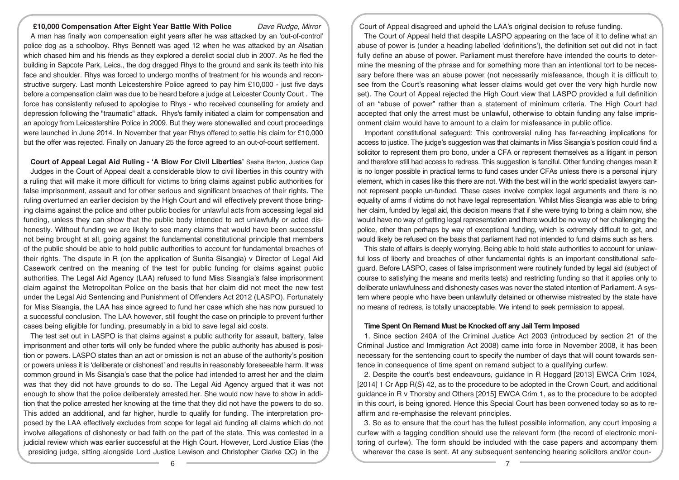# **£10,000 Compensation After Eight Year Battle With Police** *Dave Rudge, Mirror*

A man has finally won compensation eight years after he was attacked by an 'out-of-control' police dog as a schoolboy. Rhys Bennett was aged 12 when he was attacked by an Alsatian which chased him and his friends as they explored a derelict social club in 2007. As he fled the building in Sapcote Park, Leics., the dog dragged Rhys to the ground and sank its teeth into his face and shoulder. Rhys was forced to undergo months of treatment for his wounds and reconstructive surgery. Last month Leicestershire Police agreed to pay him £10,000 - just five days before a compensation claim was due to be heard before a judge at Leicester County Court . The force has consistently refused to apologise to Rhys - who received counselling for anxiety and depression following the "traumatic" attack. Rhys's family initiated a claim for compensation and an apology from Leicestershire Police in 2009. But they were stonewalled and court proceedings were launched in June 2014. In November that year Rhys offered to settle his claim for £10,000 but the offer was rejected. Finally on January 25 the force agreed to an out-of-court settlement.

**Court of Appeal Legal Aid Ruling - 'A Blow For Civil Liberties'** Sasha Barton, Justice Gap Judges in the Court of Appeal dealt a considerable blow to civil liberties in this country with a ruling that will make it more difficult for victims to bring claims against public authorities for false imprisonment, assault and for other serious and significant breaches of their rights. The ruling overturned an earlier decision by the High Court and will effectively prevent those bringing claims against the police and other public bodies for unlawful acts from accessing legal aid funding, unless they can show that the public body intended to act unlawfully or acted dishonestly. Without funding we are likely to see many claims that would have been successful not being brought at all, going against the fundamental constitutional principle that members of the public should be able to hold public authorities to account for fundamental breaches of their rights. The dispute in R (on the application of Sunita Sisangia) v Director of Legal Aid Casework centred on the meaning of the test for public funding for claims against public authorities. The Legal Aid Agency (LAA) refused to fund Miss Sisangia's false imprisonment claim against the Metropolitan Police on the basis that her claim did not meet the new test under the Legal Aid Sentencing and Punishment of Offenders Act 2012 (LASPO). Fortunately for Miss Sisangia, the LAA has since agreed to fund her case which she has now pursued to a successful conclusion. The LAA however, still fought the case on principle to prevent further cases being eligible for funding, presumably in a bid to save legal aid costs.

The test set out in LASPO is that claims against a public authority for assault, battery, false imprisonment and other torts will only be funded where the public authority has abused is position or powers. LASPO states than an act or omission is not an abuse of the authority's position or powers unless it is 'deliberate or dishonest' and results in reasonably foreseeable harm. It was common ground in Ms Sisangia's case that the police had intended to arrest her and the claim was that they did not have grounds to do so. The Legal Aid Agency argued that it was not enough to show that the police deliberately arrested her. She would now have to show in addition that the police arrested her knowing at the time that they did not have the powers to do so. This added an additional, and far higher, hurdle to qualify for funding. The interpretation proposed by the LAA effectively excludes from scope for legal aid funding all claims which do not involve allegations of dishonesty or bad faith on the part of the state. This was contested in a judicial review which was earlier successful at the High Court. However, Lord Justice Elias (the presiding judge, sitting alongside Lord Justice Lewison and Christopher Clarke QC) in the

Court of Appeal disagreed and upheld the LAA's original decision to refuse funding.

The Court of Appeal held that despite LASPO appearing on the face of it to define what an abuse of power is (under a heading labelled 'definitions'), the definition set out did not in fact fully define an abuse of power. Parliament must therefore have intended the courts to determine the meaning of the phrase and for something more than an intentional tort to be necessary before there was an abuse power (not necessarily misfeasance, though it is difficult to see from the Court's reasoning what lesser claims would get over the very high hurdle now set). The Court of Appeal rejected the High Court view that LASPO provided a full definition of an "abuse of power" rather than a statement of minimum criteria. The High Court had accepted that only the arrest must be unlawful, otherwise to obtain funding any false imprisonment claim would have to amount to a claim for misfeasance in public office.

Important constitutional safeguard: This controversial ruling has far-reaching implications for access to justice. The judge's suggestion was that claimants in Miss Sisangia's position could find a solicitor to represent them pro bono, under a CFA or represent themselves as a litigant in person and therefore still had access to redress. This suggestion is fanciful. Other funding changes mean it is no longer possible in practical terms to fund cases under CFAs unless there is a personal injury element, which in cases like this there are not. With the best will in the world specialist lawyers cannot represent people un-funded. These cases involve complex legal arguments and there is no equality of arms if victims do not have legal representation. Whilst Miss Sisangia was able to bring her claim, funded by legal aid, this decision means that if she were trying to bring a claim now, she would have no way of getting legal representation and there would be no way of her challenging the police, other than perhaps by way of exceptional funding, which is extremely difficult to get, and would likely be refused on the basis that parliament had not intended to fund claims such as hers.

This state of affairs is deeply worrying. Being able to hold state authorities to account for unlawful loss of liberty and breaches of other fundamental rights is an important constitutional safeguard. Before LASPO, cases of false imprisonment were routinely funded by legal aid (subject of course to satisfying the means and merits tests) and restricting funding so that it applies only to deliberate unlawfulness and dishonesty cases was never the stated intention of Parliament. A system where people who have been unlawfully detained or otherwise mistreated by the state have no means of redress, is totally unacceptable. We intend to seek permission to appeal.

## **Time Spent On Remand Must be Knocked off any Jail Term Imposed**

1. Since section 240A of the Criminal Justice Act 2003 (introduced by section 21 of the Criminal Justice and Immigration Act 2008) came into force in November 2008, it has been necessary for the sentencing court to specify the number of days that will count towards sentence in consequence of time spent on remand subject to a qualifying curfew.

2. Despite the court's best endeavours, guidance in R Hoggard [2013] EWCA Crim 1024, [2014] 1 Cr App R(S) 42, as to the procedure to be adopted in the Crown Court, and additional guidance in R v Thorsby and Others [2015] EWCA Crim 1, as to the procedure to be adopted in this court, is being ignored. Hence this Special Court has been convened today so as to reaffirm and re-emphasise the relevant principles.

3. So as to ensure that the court has the fullest possible information, any court imposing a curfew with a tagging condition should use the relevant form (the record of electronic monitoring of curfew). The form should be included with the case papers and accompany them wherever the case is sent. At any subsequent sentencing hearing solicitors and/or coun-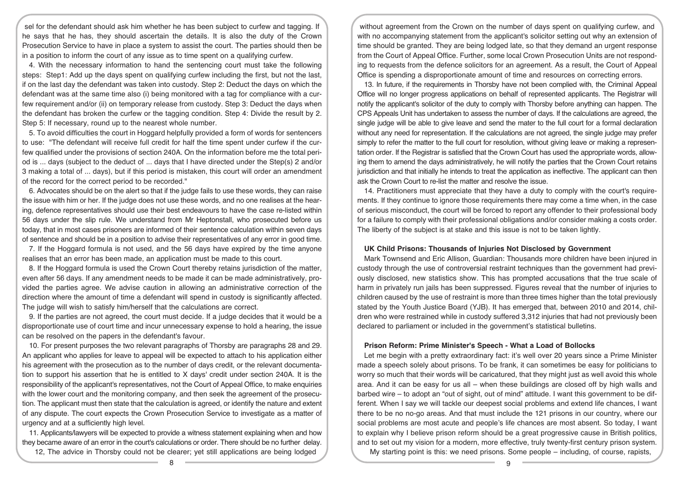sel for the defendant should ask him whether he has been subject to curfew and tagging. If he says that he has, they should ascertain the details. It is also the duty of the Crown Prosecution Service to have in place a system to assist the court. The parties should then be in a position to inform the court of any issue as to time spent on a qualifying curfew.

4. With the necessary information to hand the sentencing court must take the following steps: Step1: Add up the days spent on qualifying curfew including the first, but not the last, if on the last day the defendant was taken into custody. Step 2: Deduct the days on which the defendant was at the same time also (i) being monitored with a tag for compliance with a curfew requirement and/or (ii) on temporary release from custody. Step 3: Deduct the days when the defendant has broken the curfew or the tagging condition. Step 4: Divide the result by 2. Step 5: If necessary, round up to the nearest whole number.

5. To avoid difficulties the court in Hoggard helpfully provided a form of words for sentencers to use: "The defendant will receive full credit for half the time spent under curfew if the curfew qualified under the provisions of section 240A. On the information before me the total period is ... days (subject to the deduct of ... days that I have directed under the Step(s) 2 and/or 3 making a total of ... days), but if this period is mistaken, this court will order an amendment of the record for the correct period to be recorded."

6. Advocates should be on the alert so that if the judge fails to use these words, they can raise the issue with him or her. If the judge does not use these words, and no one realises at the hearing, defence representatives should use their best endeavours to have the case re-listed within 56 days under the slip rule. We understand from Mr Heptonstall, who prosecuted before us today, that in most cases prisoners are informed of their sentence calculation within seven days of sentence and should be in a position to advise their representatives of any error in good time.

7. If the Hoggard formula is not used, and the 56 days have expired by the time anyone realises that an error has been made, an application must be made to this court.

8. If the Hoggard formula is used the Crown Court thereby retains jurisdiction of the matter, even after 56 days. If any amendment needs to be made it can be made administratively, provided the parties agree. We advise caution in allowing an administrative correction of the direction where the amount of time a defendant will spend in custody is significantly affected. The judge will wish to satisfy him/herself that the calculations are correct.

9. If the parties are not agreed, the court must decide. If a judge decides that it would be a disproportionate use of court time and incur unnecessary expense to hold a hearing, the issue can be resolved on the papers in the defendant's favour.

10. For present purposes the two relevant paragraphs of Thorsby are paragraphs 28 and 29. An applicant who applies for leave to appeal will be expected to attach to his application either his agreement with the prosecution as to the number of days credit, or the relevant documentation to support his assertion that he is entitled to X days' credit under section 240A. It is the responsibility of the applicant's representatives, not the Court of Appeal Office, to make enquiries with the lower court and the monitoring company, and then seek the agreement of the prosecution. The applicant must then state that the calculation is agreed, or identify the nature and extent of any dispute. The court expects the Crown Prosecution Service to investigate as a matter of urgency and at a sufficiently high level.

11. Applicants/lawyers will be expected to provide a witness statement explaining when and how they became aware of an error in the court's calculations or order. There should be no further delay.

12, The advice in Thorsby could not be clearer; yet still applications are being lodged

without agreement from the Crown on the number of days spent on qualifying curfew, and with no accompanying statement from the applicant's solicitor setting out why an extension of time should be granted. They are being lodged late, so that they demand an urgent response from the Court of Appeal Office. Further, some local Crown Prosecution Units are not responding to requests from the defence solicitors for an agreement. As a result, the Court of Appeal Office is spending a disproportionate amount of time and resources on correcting errors.

13. In future, if the requirements in Thorsby have not been complied with, the Criminal Appeal Office will no longer progress applications on behalf of represented applicants. The Registrar will notify the applicant's solicitor of the duty to comply with Thorsby before anything can happen. The CPS Appeals Unit has undertaken to assess the number of days. If the calculations are agreed, the single judge will be able to give leave and send the mater to the full court for a formal declaration without any need for representation. If the calculations are not agreed, the single judge may prefer simply to refer the matter to the full court for resolution, without giving leave or making a representation order. If the Registrar is satisfied that the Crown Court has used the appropriate words, allowing them to amend the days administratively, he will notify the parties that the Crown Court retains jurisdiction and that initially he intends to treat the application as ineffective. The applicant can then ask the Crown Court to re-list the matter and resolve the issue.

14. Practitioners must appreciate that they have a duty to comply with the court's requirements. If they continue to ignore those requirements there may come a time when, in the case of serious misconduct, the court will be forced to report any offender to their professional body for a failure to comply with their professional obligations and/or consider making a costs order. The liberty of the subject is at stake and this issue is not to be taken lightly.

# **UK Child Prisons: Thousands of Injuries Not Disclosed by Government**

Mark Townsend and Eric Allison, Guardian: Thousands more children have been injured in custody through the use of controversial restraint techniques than the government had previously disclosed, new statistics show. This has prompted accusations that the true scale of harm in privately run jails has been suppressed. Figures reveal that the number of injuries to children caused by the use of restraint is more than three times higher than the total previously stated by the Youth Justice Board (YJB). It has emerged that, between 2010 and 2014, children who were restrained while in custody suffered 3,312 injuries that had not previously been declared to parliament or included in the government's statistical bulletins.

### **Prison Reform: Prime Minister's Speech - What a Load of Bollocks**

Let me begin with a pretty extraordinary fact: it's well over 20 years since a Prime Minister made a speech solely about prisons. To be frank, it can sometimes be easy for politicians to worry so much that their words will be caricatured, that they might just as well avoid this whole area. And it can be easy for us all – when these buildings are closed off by high walls and barbed wire – to adopt an "out of sight, out of mind" attitude. I want this government to be different. When I say we will tackle our deepest social problems and extend life chances, I want there to be no no-go areas. And that must include the 121 prisons in our country, where our social problems are most acute and people's life chances are most absent. So today, I want to explain why I believe prison reform should be a great progressive cause in British politics, and to set out my vision for a modern, more effective, truly twenty-first century prison system. My starting point is this: we need prisons. Some people – including, of course, rapists,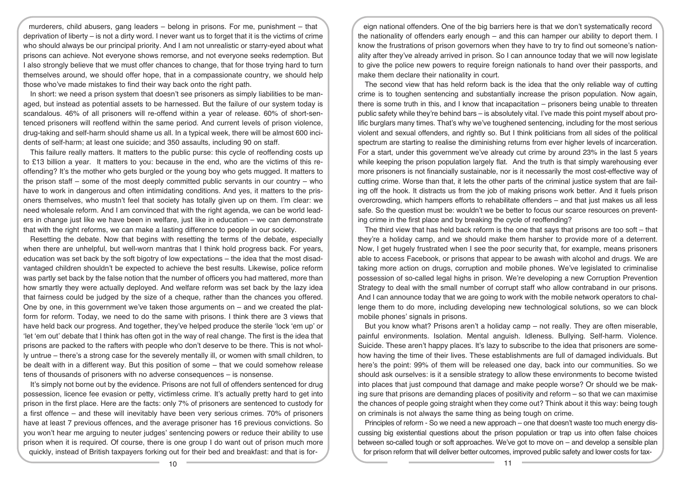murderers, child abusers, gang leaders – belong in prisons. For me, punishment – that deprivation of liberty – is not a dirty word. I never want us to forget that it is the victims of crime who should always be our principal priority. And I am not unrealistic or starry-eyed about what prisons can achieve. Not everyone shows remorse, and not everyone seeks redemption. But I also strongly believe that we must offer chances to change, that for those trying hard to turn themselves around, we should offer hope, that in a compassionate country, we should help those who've made mistakes to find their way back onto the right path.

In short: we need a prison system that doesn't see prisoners as simply liabilities to be managed, but instead as potential assets to be harnessed. But the failure of our system today is scandalous. 46% of all prisoners will re-offend within a year of release. 60% of short-sentenced prisoners will reoffend within the same period. And current levels of prison violence, drug-taking and self-harm should shame us all. In a typical week, there will be almost 600 incidents of self-harm; at least one suicide; and 350 assaults, including 90 on staff.

This failure really matters. It matters to the public purse: this cycle of reoffending costs up to £13 billion a year. It matters to you: because in the end, who are the victims of this reoffending? It's the mother who gets burgled or the young boy who gets mugged. It matters to the prison staff – some of the most deeply committed public servants in our country – who have to work in dangerous and often intimidating conditions. And yes, it matters to the prisoners themselves, who mustn't feel that society has totally given up on them. I'm clear: we need wholesale reform. And I am convinced that with the right agenda, we can be world leaders in change just like we have been in welfare, just like in education – we can demonstrate that with the right reforms, we can make a lasting difference to people in our society.

Resetting the debate. Now that begins with resetting the terms of the debate, especially when there are unhelpful, but well-worn mantras that I think hold progress back. For years, education was set back by the soft bigotry of low expectations – the idea that the most disadvantaged children shouldn't be expected to achieve the best results. Likewise, police reform was partly set back by the false notion that the number of officers you had mattered, more than how smartly they were actually deployed. And welfare reform was set back by the lazy idea that fairness could be judged by the size of a cheque, rather than the chances you offered. One by one, in this government we've taken those arguments on  $-$  and we created the platform for reform. Today, we need to do the same with prisons. I think there are 3 views that have held back our progress. And together, they've helped produce the sterile 'lock 'em up' or 'let 'em out' debate that I think has often got in the way of real change. The first is the idea that prisons are packed to the rafters with people who don't deserve to be there. This is not wholly untrue – there's a strong case for the severely mentally ill, or women with small children, to be dealt with in a different way. But this position of some – that we could somehow release tens of thousands of prisoners with no adverse consequences – is nonsense.

It's simply not borne out by the evidence. Prisons are not full of offenders sentenced for drug possession, licence fee evasion or petty, victimless crime. It's actually pretty hard to get into prison in the first place. Here are the facts: only 7% of prisoners are sentenced to custody for a first offence – and these will inevitably have been very serious crimes. 70% of prisoners have at least 7 previous offences, and the average prisoner has 16 previous convictions. So you won't hear me arguing to neuter judges' sentencing powers or reduce their ability to use prison when it is required. Of course, there is one group I do want out of prison much more quickly, instead of British taxpayers forking out for their bed and breakfast: and that is for-

eign national offenders. One of the big barriers here is that we don't systematically record the nationality of offenders early enough – and this can hamper our ability to deport them. I know the frustrations of prison governors when they have to try to find out someone's nationality after they've already arrived in prison. So I can announce today that we will now legislate to give the police new powers to require foreign nationals to hand over their passports, and make them declare their nationality in court.

The second view that has held reform back is the idea that the only reliable way of cutting crime is to toughen sentencing and substantially increase the prison population. Now again, there is some truth in this, and I know that incapacitation – prisoners being unable to threaten public safety while they're behind bars – is absolutely vital. I've made this point myself about prolific burglars many times. That's why we've toughened sentencing, including for the most serious violent and sexual offenders, and rightly so. But I think politicians from all sides of the political spectrum are starting to realise the diminishing returns from ever higher levels of incarceration. For a start, under this government we've already cut crime by around 23% in the last 5 years while keeping the prison population largely flat. And the truth is that simply warehousing ever more prisoners is not financially sustainable, nor is it necessarily the most cost-effective way of cutting crime. Worse than that, it lets the other parts of the criminal justice system that are failing off the hook. It distracts us from the job of making prisons work better. And it fuels prison overcrowding, which hampers efforts to rehabilitate offenders – and that just makes us all less safe. So the question must be: wouldn't we be better to focus our scarce resources on preventing crime in the first place and by breaking the cycle of reoffending?

The third view that has held back reform is the one that says that prisons are too soft – that they're a holiday camp, and we should make them harsher to provide more of a deterrent. Now, I get hugely frustrated when I see the poor security that, for example, means prisoners able to access Facebook, or prisons that appear to be awash with alcohol and drugs. We are taking more action on drugs, corruption and mobile phones. We've legislated to criminalise possession of so-called legal highs in prison. We're developing a new Corruption Prevention Strategy to deal with the small number of corrupt staff who allow contraband in our prisons. And I can announce today that we are going to work with the mobile network operators to challenge them to do more, including developing new technological solutions, so we can block mobile phones' signals in prisons.

But you know what? Prisons aren't a holiday camp – not really. They are often miserable, painful environments. Isolation. Mental anguish. Idleness. Bullying. Self-harm. Violence. Suicide. These aren't happy places. It's lazy to subscribe to the idea that prisoners are somehow having the time of their lives. These establishments are full of damaged individuals. But here's the point: 99% of them will be released one day, back into our communities. So we should ask ourselves: is it a sensible strategy to allow these environments to become twisted into places that just compound that damage and make people worse? Or should we be making sure that prisons are demanding places of positivity and reform – so that we can maximise the chances of people going straight when they come out? Think about it this way: being tough on criminals is not always the same thing as being tough on crime.

Principles of reform - So we need a new approach – one that doesn't waste too much energy discussing big existential questions about the prison population or trap us into often false choices between so-called tough or soft approaches. We've got to move on – and develop a sensible plan for prison reform that will deliver better outcomes, improved public safety and lower costs for tax-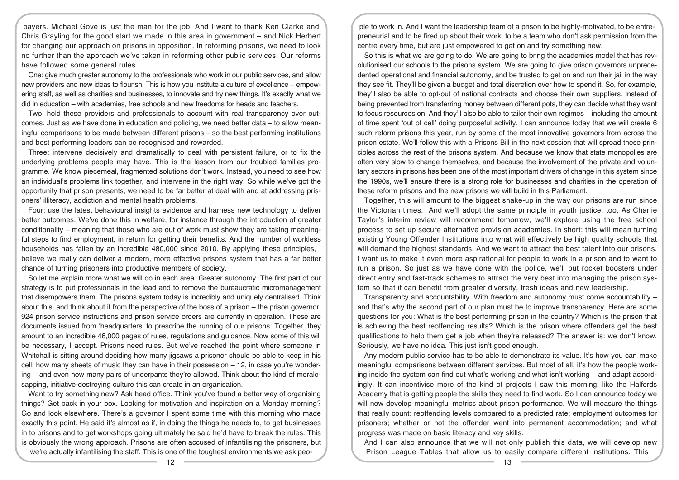payers. Michael Gove is just the man for the job. And I want to thank Ken Clarke and Chris Grayling for the good start we made in this area in government – and Nick Herbert for changing our approach on prisons in opposition. In reforming prisons, we need to look no further than the approach we've taken in reforming other public services. Our reforms have followed some general rules.

One: give much greater autonomy to the professionals who work in our public services, and allow new providers and new ideas to flourish. This is how you institute a culture of excellence – empowering staff, as well as charities and businesses, to innovate and try new things. It's exactly what we did in education – with academies, free schools and new freedoms for heads and teachers.

Two: hold these providers and professionals to account with real transparency over outcomes. Just as we have done in education and policing, we need better data – to allow meaningful comparisons to be made between different prisons – so the best performing institutions and best performing leaders can be recognised and rewarded.

Three: intervene decisively and dramatically to deal with persistent failure, or to fix the underlying problems people may have. This is the lesson from our troubled families programme. We know piecemeal, fragmented solutions don't work. Instead, you need to see how an individual's problems link together, and intervene in the right way. So while we've got the opportunity that prison presents, we need to be far better at deal with and at addressing prisoners' illiteracy, addiction and mental health problems.

Four: use the latest behavioural insights evidence and harness new technology to deliver better outcomes. We've done this in welfare, for instance through the introduction of greater conditionality – meaning that those who are out of work must show they are taking meaningful steps to find employment, in return for getting their benefits. And the number of workless households has fallen by an incredible 480,000 since 2010. By applying these principles, I believe we really can deliver a modern, more effective prisons system that has a far better chance of turning prisoners into productive members of society.

So let me explain more what we will do in each area. Greater autonomy. The first part of our strategy is to put professionals in the lead and to remove the bureaucratic micromanagement that disempowers them. The prisons system today is incredibly and uniquely centralised. Think about this, and think about it from the perspective of the boss of a prison – the prison governor. 924 prison service instructions and prison service orders are currently in operation. These are documents issued from 'headquarters' to prescribe the running of our prisons. Together, they amount to an incredible 46,000 pages of rules, regulations and guidance. Now some of this will be necessary, I accept. Prisons need rules. But we've reached the point where someone in Whitehall is sitting around deciding how many jigsaws a prisoner should be able to keep in his cell, how many sheets of music they can have in their possession - 12, in case you're wondering – and even how many pairs of underpants they're allowed. Think about the kind of moralesapping, initiative-destroying culture this can create in an organisation.

Want to try something new? Ask head office. Think you've found a better way of organising things? Get back in your box. Looking for motivation and inspiration on a Monday morning? Go and look elsewhere. There's a governor I spent some time with this morning who made exactly this point. He said it's almost as if, in doing the things he needs to, to get businesses in to prisons and to get workshops going ultimately he said he'd have to break the rules. This is obviously the wrong approach. Prisons are often accused of infantilising the prisoners, but we're actually infantilising the staff. This is one of the toughest environments we ask peo-

ple to work in. And I want the leadership team of a prison to be highly-motivated, to be entrepreneurial and to be fired up about their work, to be a team who don't ask permission from the centre every time, but are just empowered to get on and try something new.

So this is what we are going to do. We are going to bring the academies model that has revolutionised our schools to the prisons system. We are going to give prison governors unprecedented operational and financial autonomy, and be trusted to get on and run their jail in the way they see fit. They'll be given a budget and total discretion over how to spend it. So, for example, they'll also be able to opt-out of national contracts and choose their own suppliers. Instead of being prevented from transferring money between different pots, they can decide what they want to focus resources on. And they'll also be able to tailor their own regimes – including the amount of time spent 'out of cell' doing purposeful activity. I can announce today that we will create 6 such reform prisons this year, run by some of the most innovative governors from across the prison estate. We'll follow this with a Prisons Bill in the next session that will spread these principles across the rest of the prisons system. And because we know that state monopolies are often very slow to change themselves, and because the involvement of the private and voluntary sectors in prisons has been one of the most important drivers of change in this system since the 1990s, we'll ensure there is a strong role for businesses and charities in the operation of these reform prisons and the new prisons we will build in this Parliament.

Together, this will amount to the biggest shake-up in the way our prisons are run since the Victorian times. And we'll adopt the same principle in youth justice, too. As Charlie Taylor's interim review will recommend tomorrow, we'll explore using the free school process to set up secure alternative provision academies. In short: this will mean turning existing Young Offender Institutions into what will effectively be high quality schools that will demand the highest standards. And we want to attract the best talent into our prisons. I want us to make it even more aspirational for people to work in a prison and to want to run a prison. So just as we have done with the police, we'll put rocket boosters under direct entry and fast-track schemes to attract the very best into managing the prison system so that it can benefit from greater diversity, fresh ideas and new leadership.

Transparency and accountability. With freedom and autonomy must come accountability – and that's why the second part of our plan must be to improve transparency. Here are some questions for you: What is the best performing prison in the country? Which is the prison that is achieving the best reoffending results? Which is the prison where offenders get the best qualifications to help them get a job when they're released? The answer is: we don't know. Seriously, we have no idea. This just isn't good enough.

Any modern public service has to be able to demonstrate its value. It's how you can make meaningful comparisons between different services. But most of all, it's how the people working inside the system can find out what's working and what isn't working – and adapt accordingly. It can incentivise more of the kind of projects I saw this morning, like the Halfords Academy that is getting people the skills they need to find work. So I can announce today we will now develop meaningful metrics about prison performance. We will measure the things that really count: reoffending levels compared to a predicted rate; employment outcomes for prisoners; whether or not the offender went into permanent accommodation; and what progress was made on basic literacy and key skills.

And I can also announce that we will not only publish this data, we will develop new Prison League Tables that allow us to easily compare different institutions. This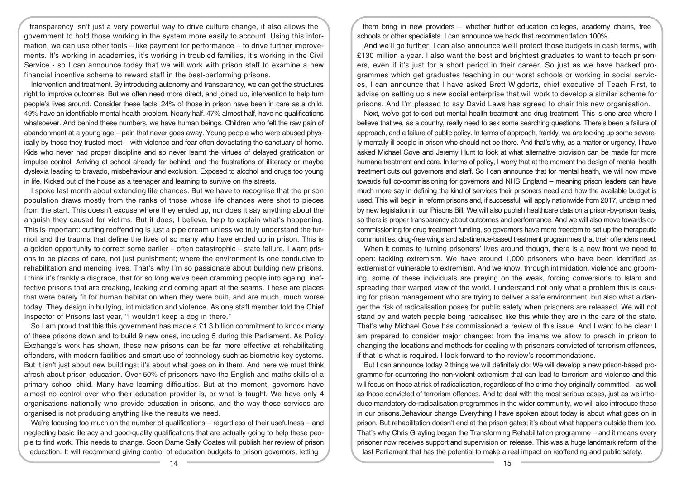transparency isn't just a very powerful way to drive culture change, it also allows the government to hold those working in the system more easily to account. Using this information, we can use other tools – like payment for performance – to drive further improvements. It's working in academies, it's working in troubled families, it's working in the Civil Service - so I can announce today that we will work with prison staff to examine a new financial incentive scheme to reward staff in the best-performing prisons.

Intervention and treatment. By introducing autonomy and transparency, we can get the structures right to improve outcomes. But we often need more direct, and joined up, intervention to help turn people's lives around. Consider these facts: 24% of those in prison have been in care as a child. 49% have an identifiable mental health problem. Nearly half. 47% almost half, have no qualifications whatsoever. And behind these numbers, we have human beings. Children who felt the raw pain of abandonment at a young age – pain that never goes away. Young people who were abused physically by those they trusted most – with violence and fear often devastating the sanctuary of home. Kids who never had proper discipline and so never learnt the virtues of delayed gratification or impulse control. Arriving at school already far behind, and the frustrations of illiteracy or maybe dyslexia leading to bravado, misbehaviour and exclusion. Exposed to alcohol and drugs too young in life. Kicked out of the house as a teenager and learning to survive on the streets.

I spoke last month about extending life chances. But we have to recognise that the prison population draws mostly from the ranks of those whose life chances were shot to pieces from the start. This doesn't excuse where they ended up, nor does it say anything about the anguish they caused for victims. But it does, I believe, help to explain what's happening. This is important: cutting reoffending is just a pipe dream unless we truly understand the turmoil and the trauma that define the lives of so many who have ended up in prison. This is a golden opportunity to correct some earlier – often catastrophic – state failure. I want prisons to be places of care, not just punishment; where the environment is one conducive to rehabilitation and mending lives. That's why I'm so passionate about building new prisons. I think it's frankly a disgrace, that for so long we've been cramming people into ageing, ineffective prisons that are creaking, leaking and coming apart at the seams. These are places that were barely fit for human habitation when they were built, and are much, much worse today. They design in bullying, intimidation and violence. As one staff member told the Chief Inspector of Prisons last year, "I wouldn't keep a dog in there."

So I am proud that this this government has made a £1.3 billion commitment to knock many of these prisons down and to build 9 new ones, including 5 during this Parliament. As Policy Exchange's work has shown, these new prisons can be far more effective at rehabilitating offenders, with modern facilities and smart use of technology such as biometric key systems. But it isn't just about new buildings; it's about what goes on in them. And here we must think afresh about prison education. Over 50% of prisoners have the English and maths skills of a primary school child. Many have learning difficulties. But at the moment, governors have almost no control over who their education provider is, or what is taught. We have only 4 organisations nationally who provide education in prisons, and the way these services are organised is not producing anything like the results we need.

We're focusing too much on the number of qualifications – regardless of their usefulness – and neglecting basic literacy and good-quality qualifications that are actually going to help these people to find work. This needs to change. Soon Dame Sally Coates will publish her review of prison education. It will recommend giving control of education budgets to prison governors, letting

them bring in new providers – whether further education colleges, academy chains, free schools or other specialists. I can announce we back that recommendation 100%.

And we'll go further: I can also announce we'll protect those budgets in cash terms, with £130 million a year. I also want the best and brightest graduates to want to teach prisoners, even if it's just for a short period in their career. So just as we have backed programmes which get graduates teaching in our worst schools or working in social services, I can announce that I have asked Brett Wigdortz, chief executive of Teach First, to advise on setting up a new social enterprise that will work to develop a similar scheme for prisons. And I'm pleased to say David Laws has agreed to chair this new organisation.

Next, we've got to sort out mental health treatment and drug treatment. This is one area where I believe that we, as a country, really need to ask some searching questions. There's been a failure of approach, and a failure of public policy. In terms of approach, frankly, we are locking up some severely mentally ill people in prison who should not be there. And that's why, as a matter or urgency, I have asked Michael Gove and Jeremy Hunt to look at what alternative provision can be made for more humane treatment and care. In terms of policy, I worry that at the moment the design of mental health treatment cuts out governors and staff. So I can announce that for mental health, we will now move towards full co-commissioning for governors and NHS England – meaning prison leaders can have much more say in defining the kind of services their prisoners need and how the available budget is used. This will begin in reform prisons and, if successful, will apply nationwide from 2017, underpinned by new legislation in our Prisons Bill. We will also publish healthcare data on a prison-by-prison basis, so there is proper transparency about outcomes and performance. And we will also move towards cocommissioning for drug treatment funding, so governors have more freedom to set up the therapeutic communities, drug-free wings and abstinence-based treatment programmes that their offenders need.

When it comes to turning prisoners' lives around though, there is a new front we need to open: tackling extremism. We have around 1,000 prisoners who have been identified as extremist or vulnerable to extremism. And we know, through intimidation, violence and grooming, some of these individuals are preying on the weak, forcing conversions to Islam and spreading their warped view of the world. I understand not only what a problem this is causing for prison management who are trying to deliver a safe environment, but also what a danger the risk of radicalisation poses for public safety when prisoners are released. We will not stand by and watch people being radicalised like this while they are in the care of the state. That's why Michael Gove has commissioned a review of this issue. And I want to be clear: I am prepared to consider major changes: from the imams we allow to preach in prison to changing the locations and methods for dealing with prisoners convicted of terrorism offences, if that is what is required. I look forward to the review's recommendations.

But I can announce today 2 things we will definitely do: We will develop a new prison-based programme for countering the non-violent extremism that can lead to terrorism and violence and this will focus on those at risk of radicalisation, regardless of the crime they originally committed – as well as those convicted of terrorism offences. And to deal with the most serious cases, just as we introduce mandatory de-radicalisation programmes in the wider community, we will also introduce these in our prisons.Behaviour change Everything I have spoken about today is about what goes on in prison. But rehabilitation doesn't end at the prison gates; it's about what happens outside them too. That's why Chris Grayling began the Transforming Rehabilitation programme – and it means every prisoner now receives support and supervision on release. This was a huge landmark reform of the last Parliament that has the potential to make a real impact on reoffending and public safety.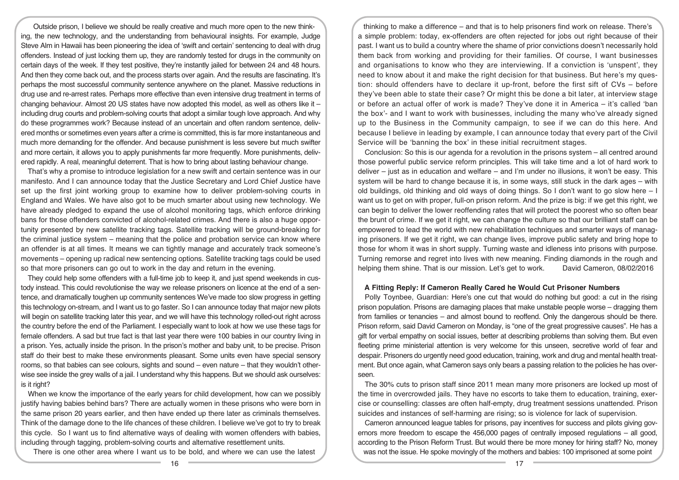Outside prison, I believe we should be really creative and much more open to the new thinking, the new technology, and the understanding from behavioural insights. For example, Judge Steve Alm in Hawaii has been pioneering the idea of 'swift and certain' sentencing to deal with drug offenders. Instead of just locking them up, they are randomly tested for drugs in the community on certain days of the week. If they test positive, they're instantly jailed for between 24 and 48 hours. And then they come back out, and the process starts over again. And the results are fascinating. It's perhaps the most successful community sentence anywhere on the planet. Massive reductions in drug use and re-arrest rates. Perhaps more effective than even intensive drug treatment in terms of changing behaviour. Almost 20 US states have now adopted this model, as well as others like it  $$ including drug courts and problem-solving courts that adopt a similar tough love approach. And why do these programmes work? Because instead of an uncertain and often random sentence, delivered months or sometimes even years after a crime is committed, this is far more instantaneous and much more demanding for the offender. And because punishment is less severe but much swifter and more certain, it allows you to apply punishments far more frequently. More punishments, delivered rapidly. A real, meaningful deterrent. That is how to bring about lasting behaviour change.

That's why a promise to introduce legislation for a new swift and certain sentence was in our manifesto. And I can announce today that the Justice Secretary and Lord Chief Justice have set up the first joint working group to examine how to deliver problem-solving courts in England and Wales. We have also got to be much smarter about using new technology. We have already pledged to expand the use of alcohol monitoring tags, which enforce drinking bans for those offenders convicted of alcohol-related crimes. And there is also a huge opportunity presented by new satellite tracking tags. Satellite tracking will be ground-breaking for the criminal justice system – meaning that the police and probation service can know where an offender is at all times. It means we can tightly manage and accurately track someone's movements – opening up radical new sentencing options. Satellite tracking tags could be used so that more prisoners can go out to work in the day and return in the evening.

They could help some offenders with a full-time job to keep it, and just spend weekends in custody instead. This could revolutionise the way we release prisoners on licence at the end of a sentence, and dramatically toughen up community sentences We've made too slow progress in getting this technology on-stream, and I want us to go faster. So I can announce today that major new pilots will begin on satellite tracking later this year, and we will have this technology rolled-out right across the country before the end of the Parliament. I especially want to look at how we use these tags for female offenders. A sad but true fact is that last year there were 100 babies in our country living in a prison. Yes, actually inside the prison. In the prison's mother and baby unit, to be precise. Prison staff do their best to make these environments pleasant. Some units even have special sensory rooms, so that babies can see colours, sights and sound – even nature – that they wouldn't otherwise see inside the grey walls of a jail. I understand why this happens. But we should ask ourselves: is it right?

When we know the importance of the early years for child development, how can we possibly justify having babies behind bars? There are actually women in these prisons who were born in the same prison 20 years earlier, and then have ended up there later as criminals themselves. Think of the damage done to the life chances of these children. I believe we've got to try to break this cycle. So I want us to find alternative ways of dealing with women offenders with babies, including through tagging, problem-solving courts and alternative resettlement units.

There is one other area where I want us to be bold, and where we can use the latest

thinking to make a difference – and that is to help prisoners find work on release. There's a simple problem: today, ex-offenders are often rejected for jobs out right because of their past. I want us to build a country where the shame of prior convictions doesn't necessarily hold them back from working and providing for their families. Of course, I want businesses and organisations to know who they are interviewing. If a conviction is 'unspent', they need to know about it and make the right decision for that business. But here's my question: should offenders have to declare it up-front, before the first sift of CVs – before they've been able to state their case? Or might this be done a bit later, at interview stage or before an actual offer of work is made? They've done it in America – it's called 'ban the box'- and I want to work with businesses, including the many who've already signed up to the Business in the Community campaign, to see if we can do this here. And because I believe in leading by example, I can announce today that every part of the Civil Service will be 'banning the box' in these initial recruitment stages.

Conclusion: So this is our agenda for a revolution in the prisons system – all centred around those powerful public service reform principles. This will take time and a lot of hard work to deliver – just as in education and welfare – and I'm under no illusions, it won't be easy. This system will be hard to change because it is, in some ways, still stuck in the dark ages – with old buildings, old thinking and old ways of doing things. So I don't want to go slow here  $-1$ want us to get on with proper, full-on prison reform. And the prize is big: if we get this right, we can begin to deliver the lower reoffending rates that will protect the poorest who so often bear the brunt of crime. If we get it right, we can change the culture so that our brilliant staff can be empowered to lead the world with new rehabilitation techniques and smarter ways of managing prisoners. If we get it right, we can change lives, improve public safety and bring hope to those for whom it was in short supply. Turning waste and idleness into prisons with purpose. Turning remorse and regret into lives with new meaning. Finding diamonds in the rough and helping them shine. That is our mission. Let's get to work. David Cameron, 08/02/2016

## **A Fitting Reply: If Cameron Really Cared he Would Cut Prisoner Numbers**

Polly Toynbee, Guardian: Here's one cut that would do nothing but good: a cut in the rising prison population. Prisons are damaging places that make unstable people worse – dragging them from families or tenancies – and almost bound to reoffend. Only the dangerous should be there. Prison reform, said David Cameron on Monday, is "one of the great progressive causes". He has a gift for verbal empathy on social issues, better at describing problems than solving them. But even fleeting prime ministerial attention is very welcome for this unseen, secretive world of fear and despair. Prisoners do urgently need good education, training, work and drug and mental health treatment. But once again, what Cameron says only bears a passing relation to the policies he has overseen.

The 30% cuts to prison staff since 2011 mean many more prisoners are locked up most of the time in overcrowded jails. They have no escorts to take them to education, training, exercise or counselling: classes are often half-empty, drug treatment sessions unattended. Prison suicides and instances of self-harming are rising; so is violence for lack of supervision.

Cameron announced league tables for prisons, pay incentives for success and pilots giving governors more freedom to escape the 456,000 pages of centrally imposed regulations – all good, according to the Prison Reform Trust. But would there be more money for hiring staff? No, money was not the issue. He spoke movingly of the mothers and babies: 100 imprisoned at some point